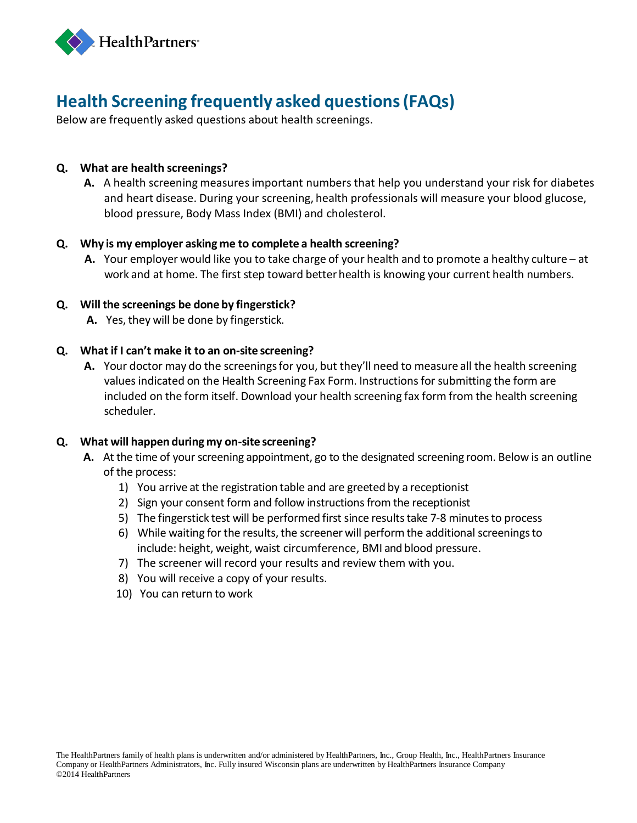

# **Health Screening frequently asked questions(FAQs)**

Below are frequently asked questions about health screenings.

## **Q. What are health screenings?**

**A.** A health screening measuresimportant numbers that help you understand your risk for diabetes and heart disease. During your screening, health professionals will measure your blood glucose, blood pressure, Body Mass Index (BMI) and cholesterol.

### **Q. Why is my employer asking me to complete a health screening?**

**A.** Your employer would like you to take charge of your health and to promote a healthy culture – at work and at home. The first step toward better health is knowing your current health numbers.

# **Q. Will the screenings be done by fingerstick?**

**A.** Yes, they will be done by fingerstick.

# **Q. What if I can't make it to an on-site screening?**

**A.** Your doctor may do the screeningsfor you, but they'll need to measure all the health screening values indicated on the Health Screening Fax Form. Instructions for submitting the form are included on the form itself. Download your health screening fax form from the health screening scheduler.

### **Q. What will happen during my on-site screening?**

- A. At the time of your screening appointment, go to the designated screening room. Below is an outline of the process:
	- 1) You arrive at the registration table and are greeted by a receptionist
	- 2) Sign your consent form and follow instructions from the receptionist
	- 5) The fingerstick test will be performed first since results take 7-8 minutes to process
	- 6) While waiting for the results, the screener will perform the additional screenings to include: height, weight, waist circumference, BMI and blood pressure.
	- 7) The screener will record your results and review them with you.
	- 8) You will receive a copy of your results.
	- 10) You can return to work